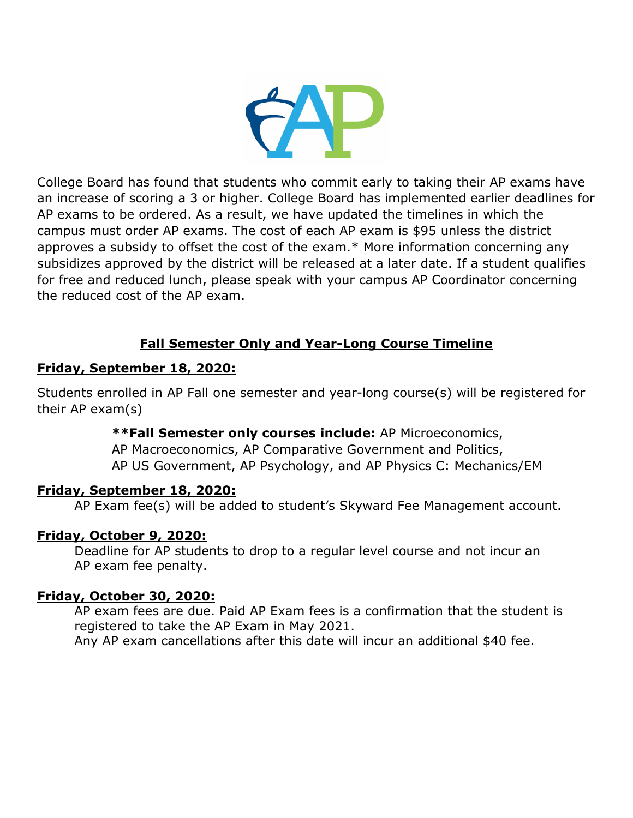

College Board has found that students who commit early to taking their AP exams have an increase of scoring a 3 or higher. College Board has implemented earlier deadlines for AP exams to be ordered. As a result, we have updated the timelines in which the campus must order AP exams. The cost of each AP exam is \$95 unless the district approves a subsidy to offset the cost of the exam.\* More information concerning any subsidizes approved by the district will be released at a later date. If a student qualifies for free and reduced lunch, please speak with your campus AP Coordinator concerning the reduced cost of the AP exam.

# **Fall Semester Only and Year-Long Course Timeline**

#### **Friday, September 18, 2020:**

Students enrolled in AP Fall one semester and year-long course(s) will be registered for their AP exam(s)

#### **\*\*Fall Semester only courses include:** AP Microeconomics,

AP Macroeconomics, AP Comparative Government and Politics, AP US Government, AP Psychology, and AP Physics C: Mechanics/EM

#### **Friday, September 18, 2020:**

AP Exam fee(s) will be added to student's Skyward Fee Management account.

### **Friday, October 9, 2020:**

Deadline for AP students to drop to a regular level course and not incur an AP exam fee penalty.

### **Friday, October 30, 2020:**

AP exam fees are due. Paid AP Exam fees is a confirmation that the student is registered to take the AP Exam in May 2021.

Any AP exam cancellations after this date will incur an additional \$40 fee.